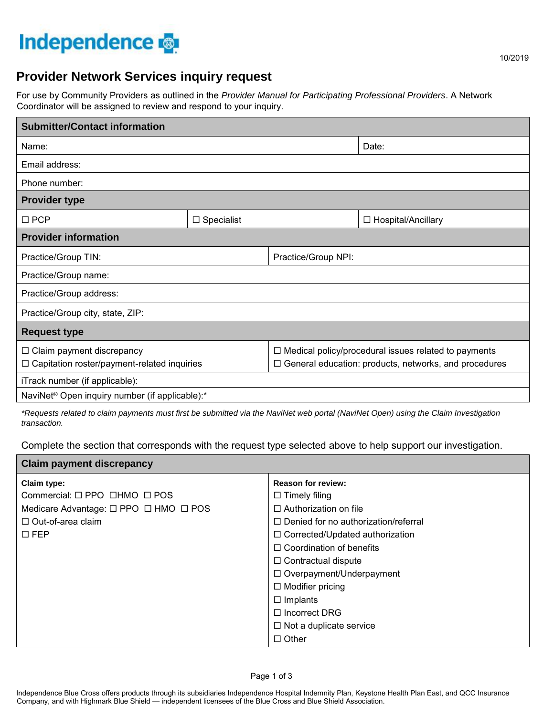# **Independence**

**Claim payment discrepancy** 

## **Provider Network Services inquiry request**

For use by Community Providers as outlined in the *Provider Manual for Participating Professional Providers*. A Network Coordinator will be assigned to review and respond to your inquiry.

| <b>Submitter/Contact information</b>                       |                   |                                                             |                      |  |
|------------------------------------------------------------|-------------------|-------------------------------------------------------------|----------------------|--|
| Name:                                                      |                   |                                                             | Date:                |  |
| Email address:                                             |                   |                                                             |                      |  |
| Phone number:                                              |                   |                                                             |                      |  |
| <b>Provider type</b>                                       |                   |                                                             |                      |  |
| $\square$ PCP                                              | $\Box$ Specialist |                                                             | □ Hospital/Ancillary |  |
| <b>Provider information</b>                                |                   |                                                             |                      |  |
| Practice/Group TIN:                                        |                   | Practice/Group NPI:                                         |                      |  |
| Practice/Group name:                                       |                   |                                                             |                      |  |
| Practice/Group address:                                    |                   |                                                             |                      |  |
| Practice/Group city, state, ZIP:                           |                   |                                                             |                      |  |
| <b>Request type</b>                                        |                   |                                                             |                      |  |
| $\Box$ Claim payment discrepancy                           |                   | $\Box$ Medical policy/procedural issues related to payments |                      |  |
| $\Box$ Capitation roster/payment-related inquiries         |                   | General education: products, networks, and procedures<br>□  |                      |  |
| iTrack number (if applicable):                             |                   |                                                             |                      |  |
| NaviNet <sup>®</sup> Open inquiry number (if applicable):* |                   |                                                             |                      |  |

*\*Requests related to claim payments must first be submitted via the NaviNet web portal (NaviNet Open) using the Claim Investigation transaction.*

Complete the section that corresponds with the request type selected above to help support our investigation.

| Giallii payllielii uiscrepalicy                               |                                             |  |
|---------------------------------------------------------------|---------------------------------------------|--|
| Claim type:                                                   | <b>Reason for review:</b>                   |  |
| Commercial: $\square$ PPO $\square$ HMO $\square$ POS         | $\Box$ Timely filing                        |  |
| Medicare Advantage: $\square$ PPO $\square$ HMO $\square$ POS | $\Box$ Authorization on file                |  |
| $\Box$ Out-of-area claim                                      | $\Box$ Denied for no authorization/referral |  |
| $\square$ FEP                                                 | □ Corrected/Updated authorization           |  |
|                                                               | $\Box$ Coordination of benefits             |  |
|                                                               | $\Box$ Contractual dispute                  |  |
|                                                               | $\Box$ Overpayment/Underpayment             |  |
|                                                               | $\Box$ Modifier pricing                     |  |
|                                                               | $\Box$ Implants                             |  |
|                                                               | $\Box$ Incorrect DRG                        |  |
|                                                               | $\Box$ Not a duplicate service              |  |
|                                                               | $\Box$ Other                                |  |
|                                                               |                                             |  |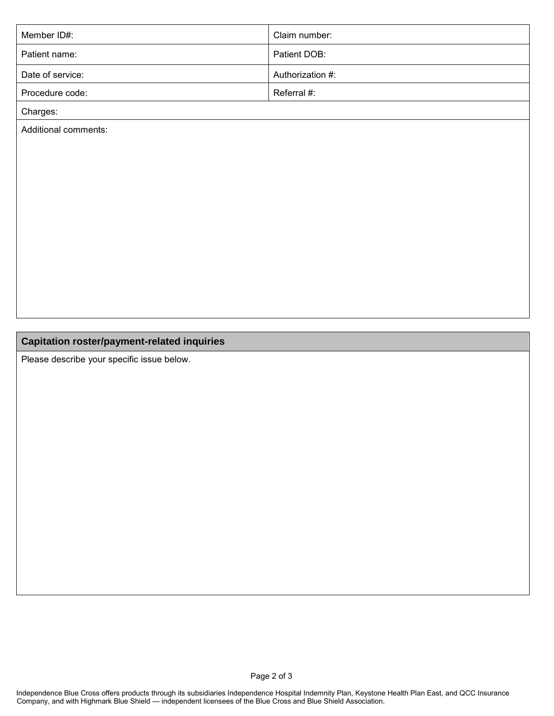| Member ID#:      | Claim number:    |
|------------------|------------------|
| Patient name:    | Patient DOB:     |
| Date of service: | Authorization #: |
| Procedure code:  | Referral #:      |
|                  |                  |

Charges:

Additional comments:

## **Capitation roster/payment-related inquiries**

Please describe your specific issue below.